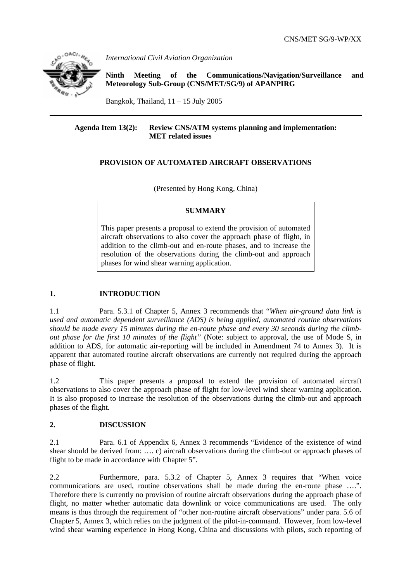

*International Civil Aviation Organization* 

**Ninth Meeting of the Communications/Navigation/Surveillance and Meteorology Sub-Group (CNS/MET/SG/9) of APANPIRG**

Bangkok, Thailand,  $11 - 15$  July 2005

### **Agenda Item 13(2): Review CNS/ATM systems planning and implementation: MET related issues**

# **PROVISION OF AUTOMATED AIRCRAFT OBSERVATIONS**

(Presented by Hong Kong, China)

### **SUMMARY**

This paper presents a proposal to extend the provision of automated aircraft observations to also cover the approach phase of flight, in addition to the climb-out and en-route phases, and to increase the resolution of the observations during the climb-out and approach phases for wind shear warning application.

# **1. INTRODUCTION**

1.1 Para. 5.3.1 of Chapter 5, Annex 3 recommends that "*When air-ground data link is used and automatic dependent surveillance (ADS) is being applied, automated routine observations should be made every 15 minutes during the en-route phase and every 30 seconds during the climbout phase for the first 10 minutes of the flight"* (Note: subject to approval, the use of Mode S, in addition to ADS, for automatic air-reporting will be included in Amendment 74 to Annex 3).It is apparent that automated routine aircraft observations are currently not required during the approach phase of flight.

1.2 This paper presents a proposal to extend the provision of automated aircraft observations to also cover the approach phase of flight for low-level wind shear warning application. It is also proposed to increase the resolution of the observations during the climb-out and approach phases of the flight.

## **2. DISCUSSION**

2.1 Para. 6.1 of Appendix 6, Annex 3 recommends "Evidence of the existence of wind shear should be derived from: …. c) aircraft observations during the climb-out or approach phases of flight to be made in accordance with Chapter 5".

2.2 Furthermore, para. 5.3.2 of Chapter 5, Annex 3 requires that "When voice communications are used, routine observations shall be made during the en-route phase ….". Therefore there is currently no provision of routine aircraft observations during the approach phase of flight, no matter whether automatic data downlink or voice communications are used. The only means is thus through the requirement of "other non-routine aircraft observations" under para. 5.6 of Chapter 5, Annex 3, which relies on the judgment of the pilot-in-command. However, from low-level wind shear warning experience in Hong Kong, China and discussions with pilots, such reporting of